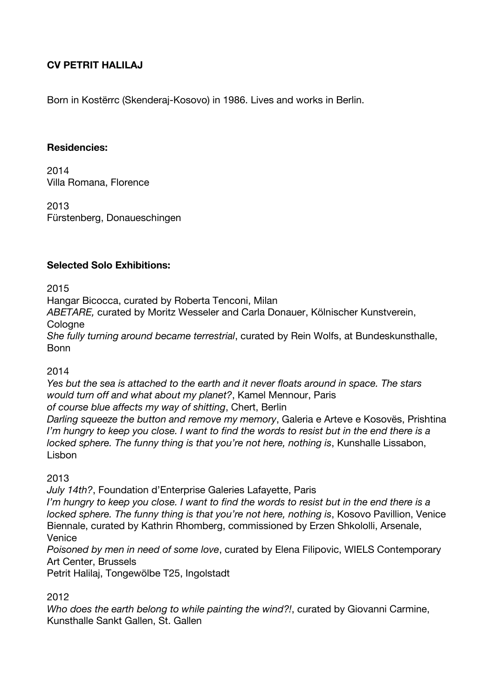## **CV PETRIT HALILAJ**

Born in Kostërrc (Skenderaj-Kosovo) in 1986. Lives and works in Berlin.

#### **Residencies:**

2014 Villa Romana, Florence

2013 Fürstenberg, Donaueschingen

#### **Selected Solo Exhibitions:**

2015

Hangar Bicocca, curated by Roberta Tenconi, Milan

*ABETARE,* curated by Moritz Wesseler and Carla Donauer, Kölnischer Kunstverein, **Cologne** 

*She fully turning around became terrestrial*, curated by Rein Wolfs, at Bundeskunsthalle, Bonn

#### 2014

*Yes but the sea is attached to the earth and it never floats around in space. The stars would turn off and what about my planet?*, Kamel Mennour, Paris

*of course blue affects my way of shitting*, Chert, Berlin

*Darling squeeze the button and remove my memory*, Galeria e Arteve e Kosovës, Prishtina *I'm hungry to keep you close. I want to find the words to resist but in the end there is a locked sphere. The funny thing is that you're not here, nothing is*, Kunshalle Lissabon, Lisbon

#### 2013

*July 14th?*, Foundation d'Enterprise Galeries Lafayette, Paris

*I'm hungry to keep you close. I want to find the words to resist but in the end there is a locked sphere. The funny thing is that you're not here, nothing is*, Kosovo Pavillion, Venice Biennale, curated by Kathrin Rhomberg, commissioned by Erzen Shkololli, Arsenale, Venice

*Poisoned by men in need of some love*, curated by Elena Filipovic, WIELS Contemporary Art Center, Brussels

Petrit Halilaj, Tongewölbe T25, Ingolstadt

#### 2012

*Who does the earth belong to while painting the wind?!*, curated by Giovanni Carmine, Kunsthalle Sankt Gallen, St. Gallen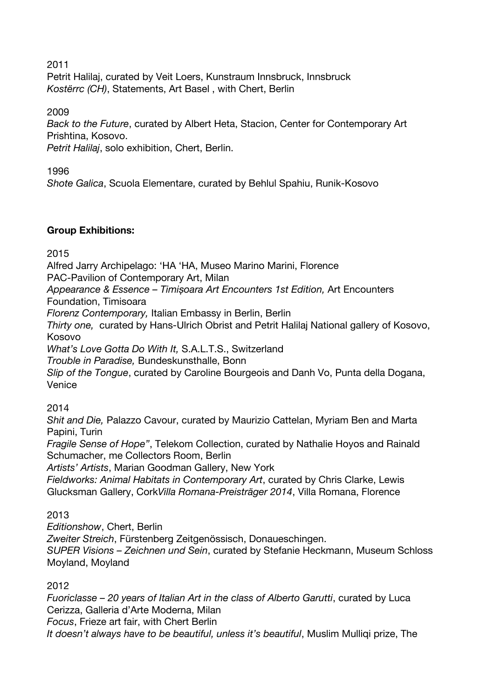2011

Petrit Halilaj, curated by Veit Loers, Kunstraum Innsbruck, Innsbruck *Kostërrc (CH)*, Statements, Art Basel , with Chert, Berlin

2009

*Back to the Future*, curated by Albert Heta, Stacion, Center for Contemporary Art Prishtina, Kosovo.

*Petrit Halilaj*, solo exhibition, Chert, Berlin.

1996

*Shote Galica*, Scuola Elementare, curated by Behlul Spahiu, Runik-Kosovo

### **Group Exhibitions:**

2015

Alfred Jarry Archipelago: 'HA 'HA, Museo Marino Marini, Florence

PAC-Pavilion of Contemporary Art, Milan

*Appearance & Essence – Timișoara Art Encounters 1st Edition,* Art Encounters Foundation, Timisoara

*Florenz Contemporary,* Italian Embassy in Berlin, Berlin

*Thirty one,* curated by Hans-Ulrich Obrist and Petrit Halilaj National gallery of Kosovo, Kosovo

*What's Love Gotta Do With It,* S.A.L.T.S., Switzerland

*Trouble in Paradise,* Bundeskunsthalle, Bonn

*Slip of the Tongue*, curated by Caroline Bourgeois and Danh Vo, Punta della Dogana, Venice

2014

*Shit and Die,* Palazzo Cavour, curated by Maurizio Cattelan, Myriam Ben and Marta Papini, Turin

*Fragile Sense of Hope"*, Telekom Collection, curated by Nathalie Hoyos and Rainald Schumacher, me Collectors Room, Berlin

*Artists' Artists*, Marian Goodman Gallery, New York

*Fieldworks: Animal Habitats in Contemporary Art*, curated by Chris Clarke, Lewis Glucksman Gallery, Cork*Villa Romana-Preisträger 2014*, Villa Romana, Florence

# 2013

*Editionshow*, Chert, Berlin

*Zweiter Streich*, Fürstenberg Zeitgenössisch, Donaueschingen.

*SUPER Visions – Zeichnen und Sein*, curated by Stefanie Heckmann, Museum Schloss Moyland, Moyland

2012

*Fuoriclasse – 20 years of Italian Art in the class of Alberto Garutti*, curated by Luca Cerizza, Galleria d'Arte Moderna, Milan *Focus*, Frieze art fair, with Chert Berlin

*It doesn't always have to be beautiful, unless it's beautiful*, Muslim Mulliqi prize, The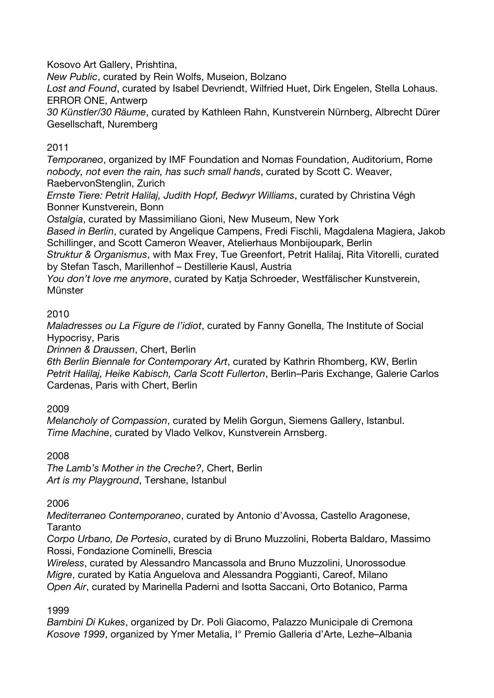Kosovo Art Gallery, Prishtina,

*New Public*, curated by Rein Wolfs, Museion, Bolzano

*Lost and Found*, curated by Isabel Devriendt, Wilfried Huet, Dirk Engelen, Stella Lohaus. ERROR ONE, Antwerp

*30 Künstler/30 Räume*, curated by Kathleen Rahn, Kunstverein Nürnberg, Albrecht Dürer Gesellschaft, Nuremberg

# 2011

*Temporaneo*, organized by IMF Foundation and Nomas Foundation, Auditorium, Rome *nobody, not even the rain, has such small hands*, curated by Scott C. Weaver, RaebervonStenglin, Zurich

*Ernste Tiere: Petrit Halilaj, Judith Hopf, Bedwyr Williams*, curated by Christina Végh Bonner Kunstverein, Bonn

*Ostalgia*, curated by Massimiliano Gioni, New Museum, New York

*Based in Berlin*, curated by Angelique Campens, Fredi Fischli, Magdalena Magiera, Jakob Schillinger, and Scott Cameron Weaver, Atelierhaus Monbijoupark, Berlin

*Struktur & Organismus*, with Max Frey, Tue Greenfort, Petrit Halilaj, Rita Vitorelli, curated by Stefan Tasch, Marillenhof – Destillerie Kausl, Austria

*You don't love me anymore*, curated by Katja Schroeder, Westfälischer Kunstverein, **Münster** 

# 2010

*Maladresses ou La Figure de l'idiot*, curated by Fanny Gonella, The Institute of Social Hypocrisy, Paris

*Drinnen & Draussen*, Chert, Berlin

*6th Berlin Biennale for Contemporary Art*, curated by Kathrin Rhomberg, KW, Berlin *Petrit Halilaj, Heike Kabisch, Carla Scott Fullerton*, Berlin–Paris Exchange, Galerie Carlos Cardenas, Paris with Chert, Berlin

# 2009

*Melancholy of Compassion*, curated by Melih Gorgun, Siemens Gallery, Istanbul. *Time Machine*, curated by Vlado Velkov, Kunstverein Arnsberg.

# 2008

*The Lamb's Mother in the Creche?*, Chert, Berlin *Art is my Playground*, Tershane, Istanbul

#### 2006

*Mediterraneo Contemporaneo*, curated by Antonio d'Avossa, Castello Aragonese, Taranto

*Corpo Urbano, De Portesio*, curated by di Bruno Muzzolini, Roberta Baldaro, Massimo Rossi, Fondazione Cominelli, Brescia

*Wireless*, curated by Alessandro Mancassola and Bruno Muzzolini, Unorossodue *Migre*, curated by Katia Anguelova and Alessandra Poggianti, Careof, Milano *Open Air*, curated by Marinella Paderni and Isotta Saccani, Orto Botanico, Parma

# 1999

*Bambini Di Kukes*, organized by Dr. Poli Giacomo, Palazzo Municipale di Cremona *Kosove 1999*, organized by Ymer Metalia, I° Premio Galleria d'Arte, Lezhe–Albania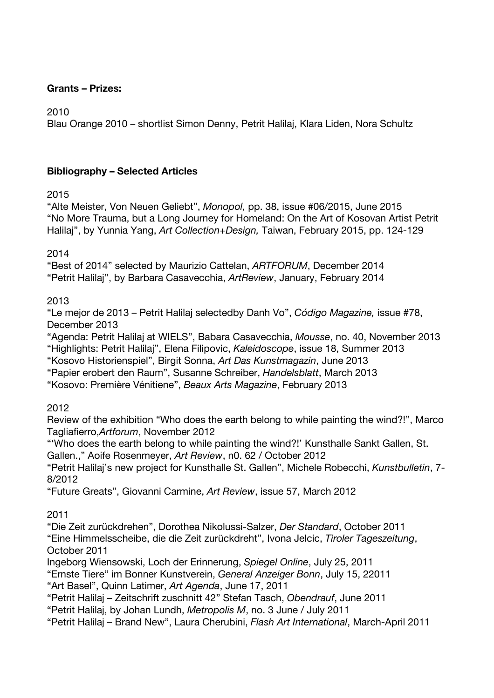#### **Grants – Prizes:**

2010

Blau Orange 2010 – shortlist Simon Denny, Petrit Halilaj, Klara Liden, Nora Schultz

### **Bibliography – Selected Articles**

### 2015

"Alte Meister, Von Neuen Geliebt", *Monopol,* pp. 38, issue #06/2015, June 2015 "No More Trauma, but a Long Journey for Homeland: On the Art of Kosovan Artist Petrit Halilaj", by Yunnia Yang, *Art Collection+Design,* Taiwan, February 2015, pp. 124-129

2014

"Best of 2014" selected by Maurizio Cattelan, *ARTFORUM*, December 2014 "Petrit Halilaj", by Barbara Casavecchia, *ArtReview*, January, February 2014

### 2013

"Le mejor de 2013 – Petrit Halilaj selectedby Danh Vo", *Código Magazine,* issue #78, December 2013

"Agenda: Petrit Halilaj at WIELS", Babara Casavecchia, *Mousse*, no. 40, November 2013 "Highlights: Petrit Halilaj", Elena Filipovic, *Kaleidoscope*, issue 18, Summer 2013 "Kosovo Historienspiel", Birgit Sonna, *Art Das Kunstmagazin*, June 2013

"Papier erobert den Raum", Susanne Schreiber, *Handelsblatt*, March 2013

"Kosovo: Première Vénitiene", *Beaux Arts Magazine*, February 2013

# 2012

Review of the exhibition "Who does the earth belong to while painting the wind?!", Marco Tagliafierro,*Artforum*, November 2012

"'Who does the earth belong to while painting the wind?!' Kunsthalle Sankt Gallen, St. Gallen.," Aoife Rosenmeyer, *Art Review*, n0. 62 / October 2012

"Petrit Halilaj's new project for Kunsthalle St. Gallen", Michele Robecchi, *Kunstbulletin*, 7- 8/2012

"Future Greats", Giovanni Carmine, *Art Review*, issue 57, March 2012

# 2011

"Die Zeit zurückdrehen", Dorothea Nikolussi-Salzer, *Der Standard*, October 2011 "Eine Himmelsscheibe, die die Zeit zurückdreht", Ivona Jelcic, *Tiroler Tageszeitung*, October 2011

Ingeborg Wiensowski, Loch der Erinnerung, *Spiegel Online*, July 25, 2011

"Ernste Tiere" im Bonner Kunstverein, *General Anzeiger Bonn*, July 15, 22011

"Art Basel", Quinn Latimer, *Art Agenda*, June 17, 2011

"Petrit Halilaj – Zeitschrift zuschnitt 42" Stefan Tasch, *Obendrauf*, June 2011

"Petrit Halilaj, by Johan Lundh, *Metropolis M*, no. 3 June / July 2011

"Petrit Halilaj – Brand New", Laura Cherubini, *Flash Art International*, March-April 2011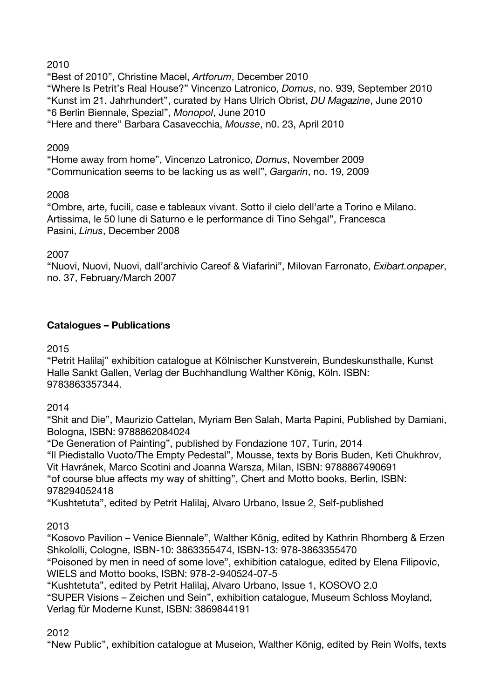### 2010

"Best of 2010", Christine Macel, *Artforum*, December 2010 "Where Is Petrit's Real House?" Vincenzo Latronico, *Domus*, no. 939, September 2010 "Kunst im 21. Jahrhundert", curated by Hans Ulrich Obrist, *DU Magazine*, June 2010 "6 Berlin Biennale, Spezial", *Monopol*, June 2010 "Here and there" Barbara Casavecchia, *Mousse*, n0. 23, April 2010

### 2009

"Home away from home", Vincenzo Latronico, *Domus*, November 2009 "Communication seems to be lacking us as well", *Gargarin*, no. 19, 2009

### 2008

"Ombre, arte, fucili, case e tableaux vivant. Sotto il cielo dell'arte a Torino e Milano. Artissima, le 50 lune di Saturno e le performance di Tino Sehgal", Francesca Pasini, *Linus*, December 2008

### 2007

"Nuovi, Nuovi, Nuovi, dall'archivio Careof & Viafarini", Milovan Farronato, *Exibart.onpaper*, no. 37, February/March 2007

### **Catalogues – Publications**

### 2015

"Petrit Halilaj" exhibition catalogue at Kölnischer Kunstverein, Bundeskunsthalle, Kunst Halle Sankt Gallen, Verlag der Buchhandlung Walther König, Köln. ISBN: 9783863357344.

#### 2014

"Shit and Die", Maurizio Cattelan, Myriam Ben Salah, Marta Papini, Published by Damiani, Bologna, ISBN: 9788862084024

"De Generation of Painting", published by Fondazione 107, Turin, 2014 "Il Piedistallo Vuoto/The Empty Pedestal", Mousse, texts by Boris Buden, Keti Chukhrov,

Vit Havránek, Marco Scotini and Joanna Warsza, Milan, ISBN: 9788867490691

"of course blue affects my way of shitting", Chert and Motto books, Berlin, ISBN: 978294052418

"Kushtetuta", edited by Petrit Halilaj, Alvaro Urbano, Issue 2, Self-published

2013

"Kosovo Pavilion – Venice Biennale", Walther König, edited by Kathrin Rhomberg & Erzen Shkololli, Cologne, ISBN-10: 3863355474, ISBN-13: 978-3863355470

"Poisoned by men in need of some love", exhibition catalogue, edited by Elena Filipovic, WIELS and Motto books, ISBN: 978-2-940524-07-5

"Kushtetuta", edited by Petrit Halilaj, Alvaro Urbano, Issue 1, KOSOVO 2.0

"SUPER Visions – Zeichen und Sein", exhibition catalogue, Museum Schloss Moyland, Verlag für Moderne Kunst, ISBN: 3869844191

#### 2012

"New Public", exhibition catalogue at Museion, Walther König, edited by Rein Wolfs, texts